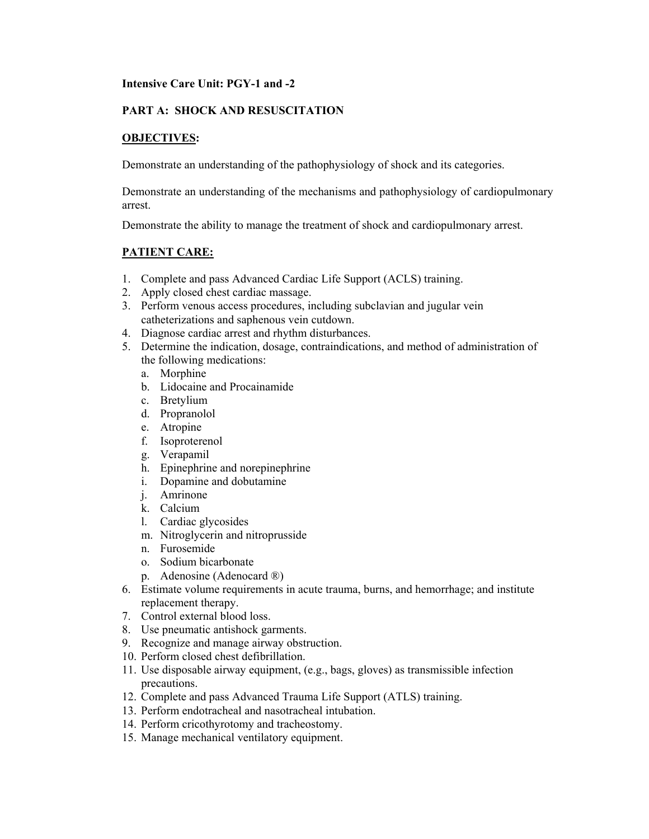## **Intensive Care Unit: PGY-1 and -2**

## **PART A: SHOCK AND RESUSCITATION**

#### **OBJECTIVES:**

Demonstrate an understanding of the pathophysiology of shock and its categories.

Demonstrate an understanding of the mechanisms and pathophysiology of cardiopulmonary arrest.

Demonstrate the ability to manage the treatment of shock and cardiopulmonary arrest.

## **PATIENT CARE:**

- 1. Complete and pass Advanced Cardiac Life Support (ACLS) training.
- 2. Apply closed chest cardiac massage.
- 3. Perform venous access procedures, including subclavian and jugular vein catheterizations and saphenous vein cutdown.
- 4. Diagnose cardiac arrest and rhythm disturbances.
- 5. Determine the indication, dosage, contraindications, and method of administration of the following medications:
	- a. Morphine
	- b. Lidocaine and Procainamide
	- c. Bretylium
	- d. Propranolol
	- e. Atropine
	- f. Isoproterenol
	- g. Verapamil
	- h. Epinephrine and norepinephrine
	- i. Dopamine and dobutamine
	- j. Amrinone
	- k. Calcium
	- l. Cardiac glycosides
	- m. Nitroglycerin and nitroprusside
	- n. Furosemide
	- o. Sodium bicarbonate
	- p. Adenosine (Adenocard ®)
- 6. Estimate volume requirements in acute trauma, burns, and hemorrhage; and institute replacement therapy.
- 7. Control external blood loss.
- 8. Use pneumatic antishock garments.
- 9. Recognize and manage airway obstruction.
- 10. Perform closed chest defibrillation.
- 11. Use disposable airway equipment, (e.g., bags, gloves) as transmissible infection precautions.
- 12. Complete and pass Advanced Trauma Life Support (ATLS) training.
- 13. Perform endotracheal and nasotracheal intubation.
- 14. Perform cricothyrotomy and tracheostomy.
- 15. Manage mechanical ventilatory equipment.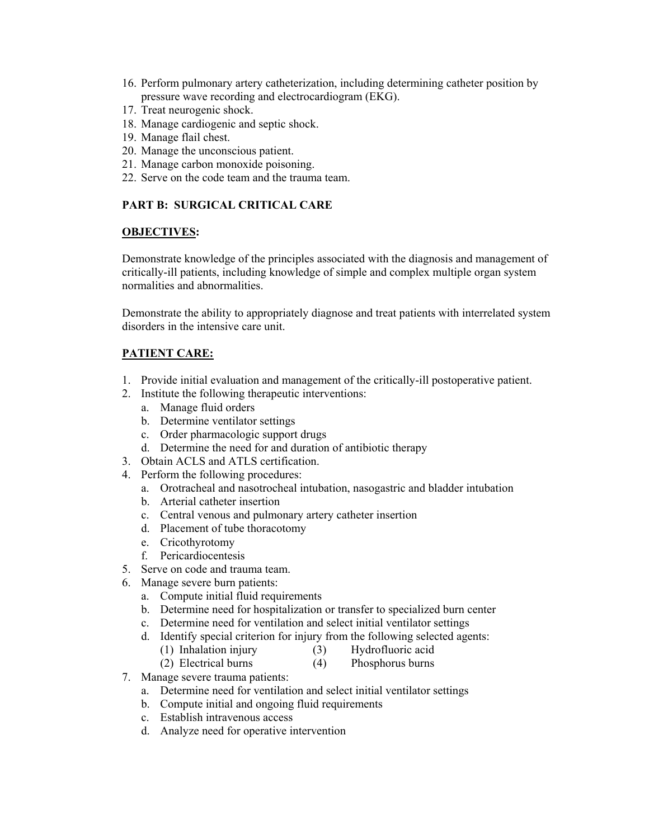- 16. Perform pulmonary artery catheterization, including determining catheter position by pressure wave recording and electrocardiogram (EKG).
- 17. Treat neurogenic shock.
- 18. Manage cardiogenic and septic shock.
- 19. Manage flail chest.
- 20. Manage the unconscious patient.
- 21. Manage carbon monoxide poisoning.
- 22. Serve on the code team and the trauma team.

## **PART B: SURGICAL CRITICAL CARE**

#### **OBJECTIVES:**

Demonstrate knowledge of the principles associated with the diagnosis and management of critically-ill patients, including knowledge of simple and complex multiple organ system normalities and abnormalities.

Demonstrate the ability to appropriately diagnose and treat patients with interrelated system disorders in the intensive care unit.

# **PATIENT CARE:**

- 1. Provide initial evaluation and management of the critically-ill postoperative patient.
- 2. Institute the following therapeutic interventions:
	- a. Manage fluid orders
	- b. Determine ventilator settings
	- c. Order pharmacologic support drugs
	- d. Determine the need for and duration of antibiotic therapy
- 3. Obtain ACLS and ATLS certification.
- 4. Perform the following procedures:
	- a. Orotracheal and nasotrocheal intubation, nasogastric and bladder intubation
	- b. Arterial catheter insertion
	- c. Central venous and pulmonary artery catheter insertion
	- d. Placement of tube thoracotomy
	- e. Cricothyrotomy
	- f. Pericardiocentesis
- 5. Serve on code and trauma team.
- 6. Manage severe burn patients:
	- a. Compute initial fluid requirements
	- b. Determine need for hospitalization or transfer to specialized burn center
	- c. Determine need for ventilation and select initial ventilator settings
	- d. Identify special criterion for injury from the following selected agents:
		- (1) Inhalation injury (3) Hydrofluoric acid
		- (2) Electrical burns (4) Phosphorus burns
- 7. Manage severe trauma patients:
	- a. Determine need for ventilation and select initial ventilator settings
	- b. Compute initial and ongoing fluid requirements
	- c. Establish intravenous access
	- d. Analyze need for operative intervention